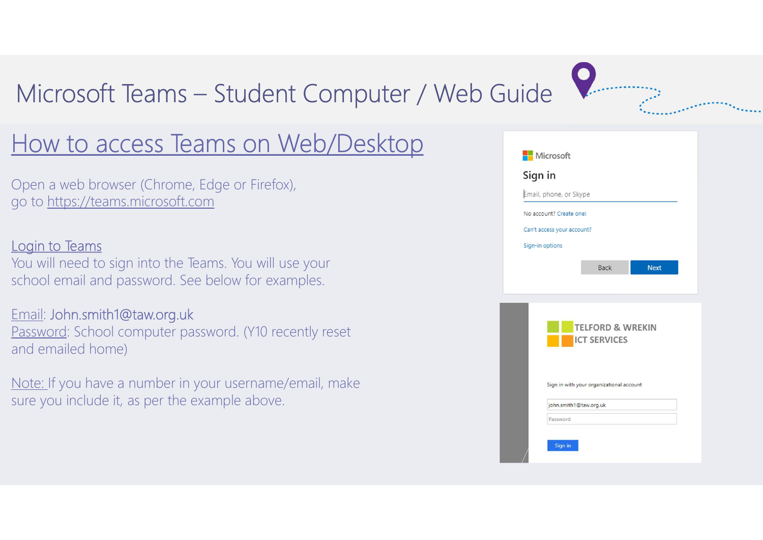# Microsoft Teams – Student Computer / Web Guide<br>
How to access Teams on Web/Desktop

## How to access Teams on Web/Desktop

Open a web browser (Chrome, Edge or Firefox), go to https://teams.microsoft.com

### Login to Teams

You will need to sign into the Teams. You will use your school email and password. See below for examples.

### Email: John.smith1@taw.org.uk

Password: School computer password. (Y10 recently reset and emailed home)

Note: If you have a number in your username/email, make sure you include it, as per the example above.

|                         | Email, phone, or Skype                   |  |             |  |  |  |  |
|-------------------------|------------------------------------------|--|-------------|--|--|--|--|
| No account? Create one! |                                          |  |             |  |  |  |  |
|                         | Can't access your account?               |  |             |  |  |  |  |
|                         | Sign-in options                          |  |             |  |  |  |  |
|                         | Back                                     |  | <b>Next</b> |  |  |  |  |
|                         |                                          |  |             |  |  |  |  |
|                         |                                          |  |             |  |  |  |  |
|                         |                                          |  |             |  |  |  |  |
|                         | <b>TELFORD &amp; WREKIN</b>              |  |             |  |  |  |  |
|                         | <b>ICT SERVICES</b>                      |  |             |  |  |  |  |
|                         |                                          |  |             |  |  |  |  |
|                         |                                          |  |             |  |  |  |  |
|                         |                                          |  |             |  |  |  |  |
|                         | Sign in with your organizational account |  |             |  |  |  |  |
|                         | john.smith1@taw.org.uk                   |  |             |  |  |  |  |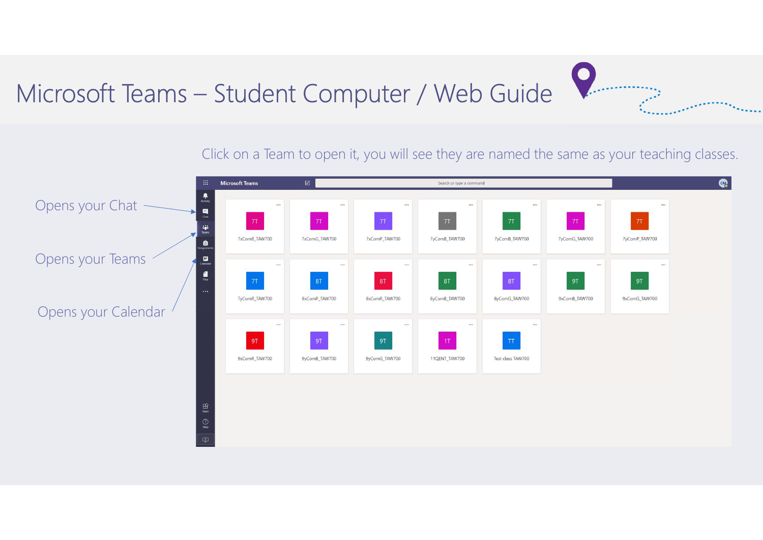## Microsoft Teams – Student Computer / Web Guide



Click on a Team to open it, you will see they are named the same as your teaching classes.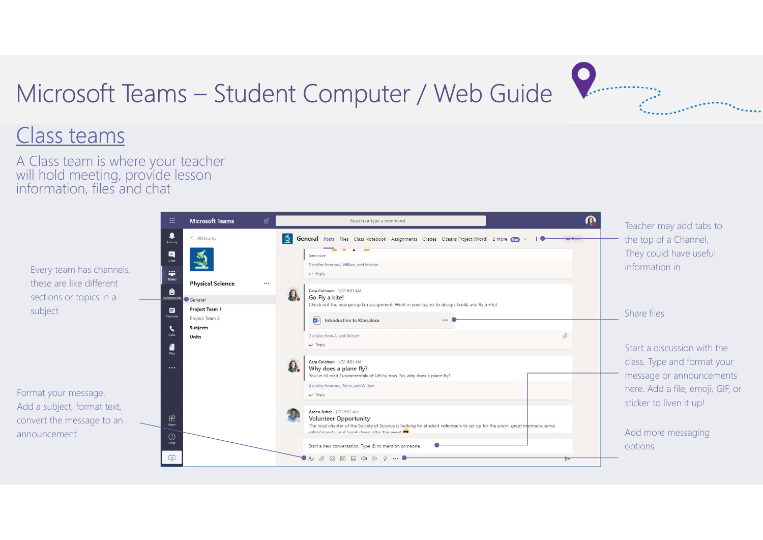# Microsoft Teams – Student Computer / Web Guide<br>Class teams

## Class teams

A Class team is where your teacher will hold meeting, provide lesson information, files and chat



*COMMUNICATION*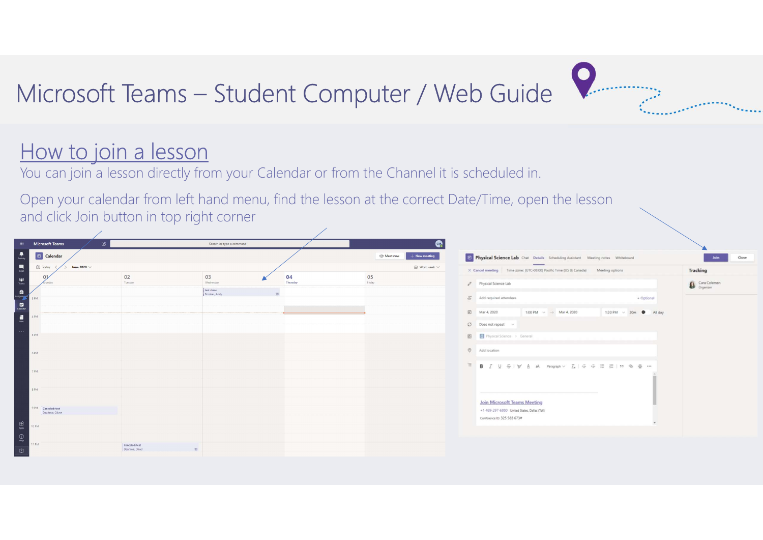## Microsoft Teams – Student Computer / Web Guide

## How to join a lesson

You can join a lesson directly from your Calendar or from the Channel it is scheduled in.

Open your calendar from left hand menu, find the lesson at the correct Date/Time, open the lesson and click Join button in top right corner

|                                                                             | <b>Eli</b> Microsoft Teams<br>$\boxtimes$ | Search or type a command                |                | $\bullet$                      |                                                                                      |                          |
|-----------------------------------------------------------------------------|-------------------------------------------|-----------------------------------------|----------------|--------------------------------|--------------------------------------------------------------------------------------|--------------------------|
| $\frac{\blacksquare}{\text{Aclwiv}}$                                        | $\boxed{\oplus}$ Calendar                 |                                         |                | Of Meet now<br>$+$ New meeting | The Physical Science Lab Chat Details Scheduling Assistant Meeting notes Whiteboard  | Join<br>Close            |
| $\begin{array}{c} \blacksquare \\ \blacksquare \\ \blacksquare \end{array}$ | [#] Today<br>June 2020 $\,\vee\,$         |                                         |                | $\Box$ Work week $\vee$        | X Cancel meeting Time zone: (UTC-08:00) Pacific Time (US & Canada) Meeting options   | Tracking                 |
| $\frac{111}{\text{Rams}}$                                                   |                                           | 02<br>03<br>Tuesday<br>Wednesday        | 04<br>Thursday | 05<br>Friday                   | Physical Science Lab                                                                 | Gra Coleman<br>Organizer |
|                                                                             | 3 PM                                      | test claire<br>Brookes, Andy            |                |                                | & Add required attendees<br>+ Optional                                               |                          |
|                                                                             | 4 PM                                      |                                         |                |                                | 图 Mar 4, 2020<br>1:00 PM $\sim$ $\rightarrow$ Mar 4, 2020<br>1:30 PM ~ 30m · All day |                          |
| $\cdots$                                                                    | 5 PM                                      |                                         |                |                                | $O$ Does not repeat $\sim$                                                           |                          |
|                                                                             |                                           |                                         |                |                                | 图 Physical Science > General<br>Add location                                         |                          |
|                                                                             | 6 PM                                      |                                         |                |                                |                                                                                      |                          |
|                                                                             | 7 PM                                      |                                         |                |                                |                                                                                      |                          |
|                                                                             | 8 PM                                      |                                         |                |                                |                                                                                      |                          |
|                                                                             | 9 PM Canceled test                        |                                         |                |                                | <b>Join Microsoft Teams Meeting</b><br>+1 469-297-6880 United States, Dallas (Toll)  |                          |
| $\underset{\text{Apes}}{\boxplus}$                                          | Dearlove, Oliver<br>0 PM                  |                                         |                |                                | Conference ID: 325 583 673#                                                          |                          |
| $\bigodot_{\mathsf{Halg}}$                                                  |                                           |                                         |                |                                |                                                                                      |                          |
| $\mathbb{C}^{\!+}_{\!2}$                                                    | 11 PM                                     | Conceled: test<br>Dearlove, Oliver<br>田 |                |                                |                                                                                      |                          |